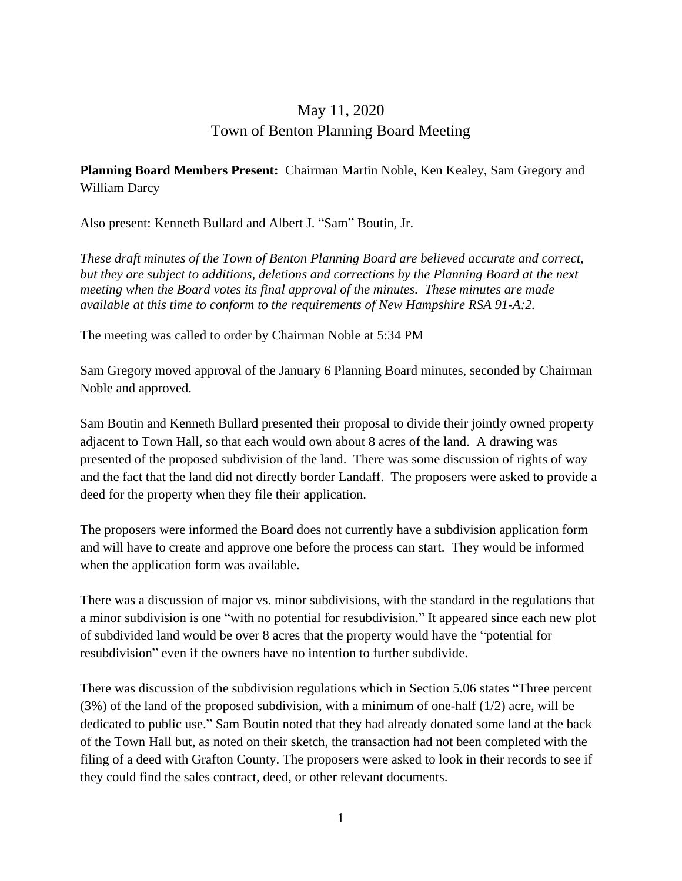## May 11, 2020 Town of Benton Planning Board Meeting

## **Planning Board Members Present:** Chairman Martin Noble, Ken Kealey, Sam Gregory and William Darcy

Also present: Kenneth Bullard and Albert J. "Sam" Boutin, Jr.

*These draft minutes of the Town of Benton Planning Board are believed accurate and correct, but they are subject to additions, deletions and corrections by the Planning Board at the next meeting when the Board votes its final approval of the minutes. These minutes are made available at this time to conform to the requirements of New Hampshire RSA 91-A:2.*

The meeting was called to order by Chairman Noble at 5:34 PM

Sam Gregory moved approval of the January 6 Planning Board minutes, seconded by Chairman Noble and approved.

Sam Boutin and Kenneth Bullard presented their proposal to divide their jointly owned property adjacent to Town Hall, so that each would own about 8 acres of the land. A drawing was presented of the proposed subdivision of the land. There was some discussion of rights of way and the fact that the land did not directly border Landaff. The proposers were asked to provide a deed for the property when they file their application.

The proposers were informed the Board does not currently have a subdivision application form and will have to create and approve one before the process can start. They would be informed when the application form was available.

There was a discussion of major vs. minor subdivisions, with the standard in the regulations that a minor subdivision is one "with no potential for resubdivision." It appeared since each new plot of subdivided land would be over 8 acres that the property would have the "potential for resubdivision" even if the owners have no intention to further subdivide.

There was discussion of the subdivision regulations which in Section 5.06 states "Three percent  $(3\%)$  of the land of the proposed subdivision, with a minimum of one-half  $(1/2)$  acre, will be dedicated to public use." Sam Boutin noted that they had already donated some land at the back of the Town Hall but, as noted on their sketch, the transaction had not been completed with the filing of a deed with Grafton County. The proposers were asked to look in their records to see if they could find the sales contract, deed, or other relevant documents.